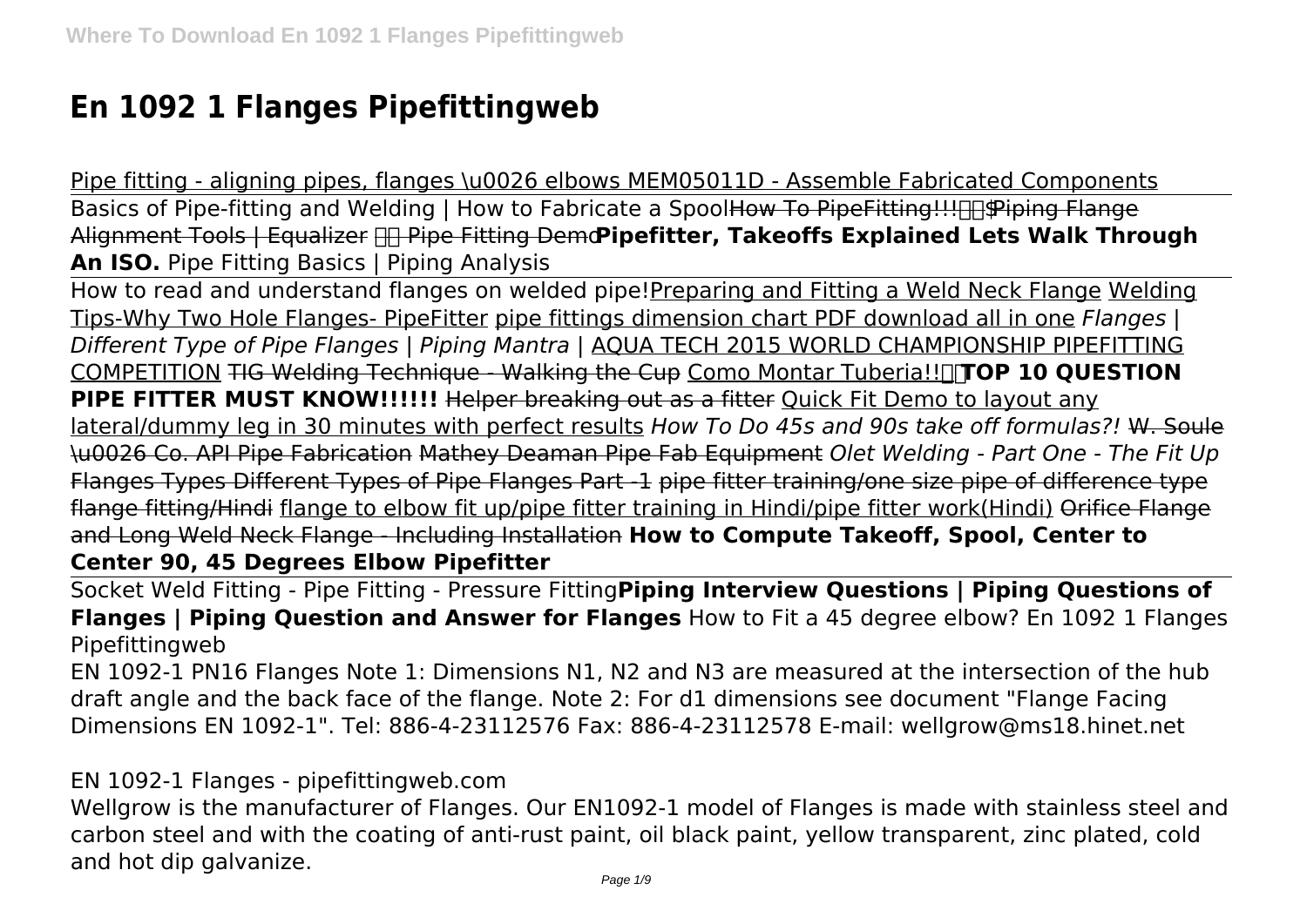## **En 1092 1 Flanges Pipefittingweb**

Pipe fitting - aligning pipes, flanges \u0026 elbows MEM05011D - Assemble Fabricated Components Basics of Pipe-fitting and Welding | How to Fabricate a Spool<del>How To PipeFitting!!! The Piping Flange</del> Alignment Tools | Equalizer Pipe Fitting Demo**Pipefitter, Takeoffs Explained Lets Walk Through An ISO.** Pipe Fitting Basics | Piping Analysis

How to read and understand flanges on welded pipe!Preparing and Fitting a Weld Neck Flange Welding Tips-Why Two Hole Flanges- PipeFitter pipe fittings dimension chart PDF download all in one *Flanges | Different Type of Pipe Flanges | Piping Mantra |* AQUA TECH 2015 WORLD CHAMPIONSHIP PIPEFITTING COMPETITION TIG Welding Technique - Walking the Cup Como Montar Tuberia!!<sup>[</sup>TOP 10 QUESTION **PIPE FITTER MUST KNOW!!!!!!!** Helper breaking out as a fitter Quick Fit Demo to layout any lateral/dummy leg in 30 minutes with perfect results *How To Do 45s and 90s take off formulas?!* W. Soule \u0026 Co. API Pipe Fabrication Mathey Deaman Pipe Fab Equipment *Olet Welding - Part One - The Fit Up* Flanges Types Different Types of Pipe Flanges Part -1 pipe fitter training/one size pipe of difference type flange fitting/Hindi flange to elbow fit up/pipe fitter training in Hindi/pipe fitter work(Hindi) Orifice Flange and Long Weld Neck Flange - Including Installation **How to Compute Takeoff, Spool, Center to Center 90, 45 Degrees Elbow Pipefitter**

Socket Weld Fitting - Pipe Fitting - Pressure Fitting**Piping Interview Questions | Piping Questions of Flanges | Piping Question and Answer for Flanges** How to Fit a 45 degree elbow? En 1092 1 Flanges Pipefittingweb

EN 1092-1 PN16 Flanges Note 1: Dimensions N1, N2 and N3 are measured at the intersection of the hub draft angle and the back face of the flange. Note 2: For d1 dimensions see document "Flange Facing Dimensions EN 1092-1". Tel: 886-4-23112576 Fax: 886-4-23112578 E-mail: wellgrow@ms18.hinet.net

EN 1092-1 Flanges - pipefittingweb.com

Wellgrow is the manufacturer of Flanges. Our EN1092-1 model of Flanges is made with stainless steel and carbon steel and with the coating of anti-rust paint, oil black paint, yellow transparent, zinc plated, cold and hot dip galvanize.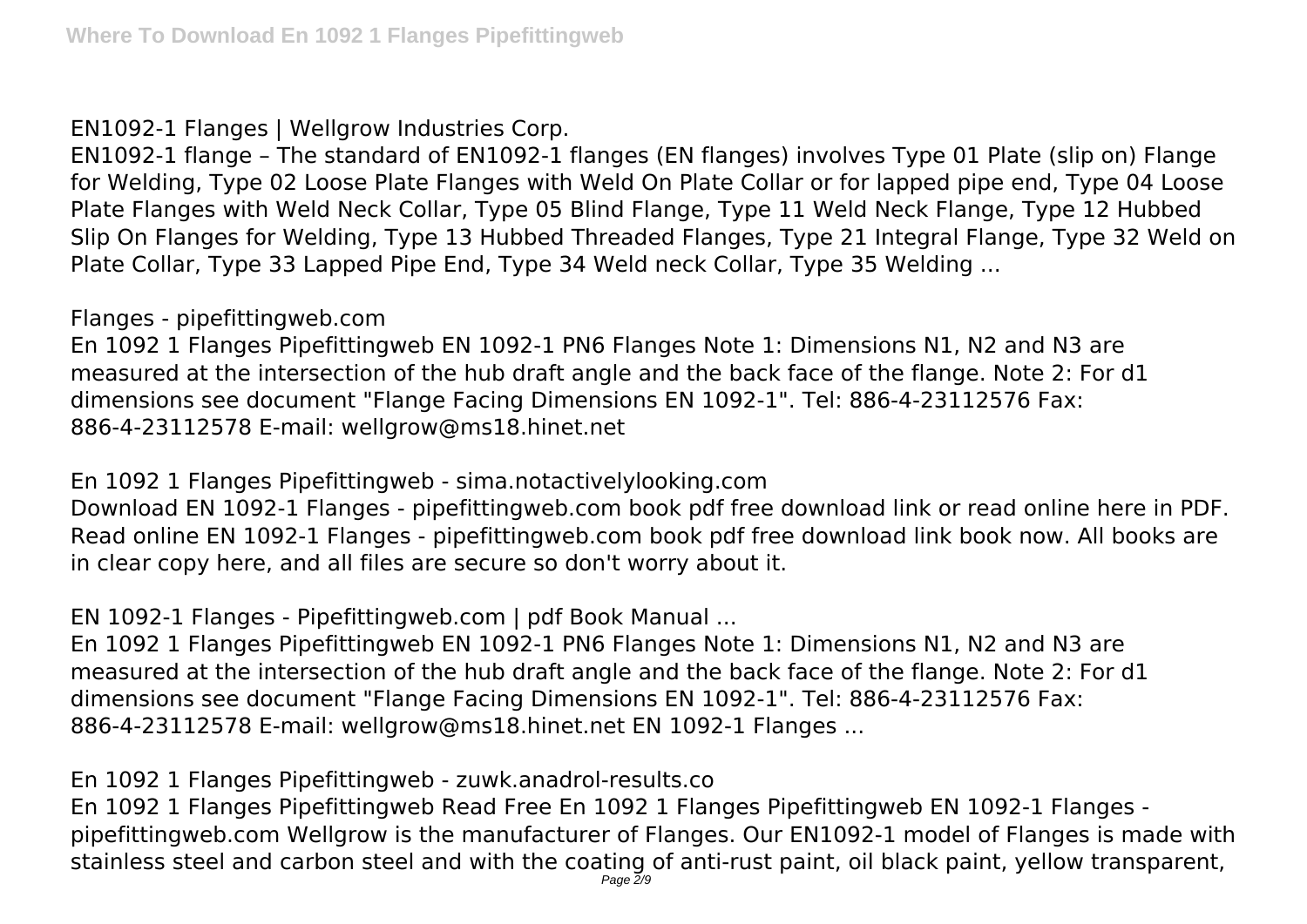EN1092-1 Flanges | Wellgrow Industries Corp.

EN1092-1 flange – The standard of EN1092-1 flanges (EN flanges) involves Type 01 Plate (slip on) Flange for Welding, Type 02 Loose Plate Flanges with Weld On Plate Collar or for lapped pipe end, Type 04 Loose Plate Flanges with Weld Neck Collar, Type 05 Blind Flange, Type 11 Weld Neck Flange, Type 12 Hubbed Slip On Flanges for Welding, Type 13 Hubbed Threaded Flanges, Type 21 Integral Flange, Type 32 Weld on Plate Collar, Type 33 Lapped Pipe End, Type 34 Weld neck Collar, Type 35 Welding ...

Flanges - pipefittingweb.com

En 1092 1 Flanges Pipefittingweb EN 1092-1 PN6 Flanges Note 1: Dimensions N1, N2 and N3 are measured at the intersection of the hub draft angle and the back face of the flange. Note 2: For d1 dimensions see document "Flange Facing Dimensions EN 1092-1". Tel: 886-4-23112576 Fax: 886-4-23112578 E-mail: wellgrow@ms18.hinet.net

En 1092 1 Flanges Pipefittingweb - sima.notactivelylooking.com

Download EN 1092-1 Flanges - pipefittingweb.com book pdf free download link or read online here in PDF. Read online EN 1092-1 Flanges - pipefittingweb.com book pdf free download link book now. All books are in clear copy here, and all files are secure so don't worry about it.

EN 1092-1 Flanges - Pipefittingweb.com | pdf Book Manual ...

En 1092 1 Flanges Pipefittingweb EN 1092-1 PN6 Flanges Note 1: Dimensions N1, N2 and N3 are measured at the intersection of the hub draft angle and the back face of the flange. Note 2: For d1 dimensions see document "Flange Facing Dimensions EN 1092-1". Tel: 886-4-23112576 Fax: 886-4-23112578 E-mail: wellgrow@ms18.hinet.net EN 1092-1 Flanges ...

En 1092 1 Flanges Pipefittingweb - zuwk.anadrol-results.co En 1092 1 Flanges Pipefittingweb Read Free En 1092 1 Flanges Pipefittingweb EN 1092-1 Flanges pipefittingweb.com Wellgrow is the manufacturer of Flanges. Our EN1092-1 model of Flanges is made with stainless steel and carbon steel and with the coating of anti-rust paint, oil black paint, yellow transparent,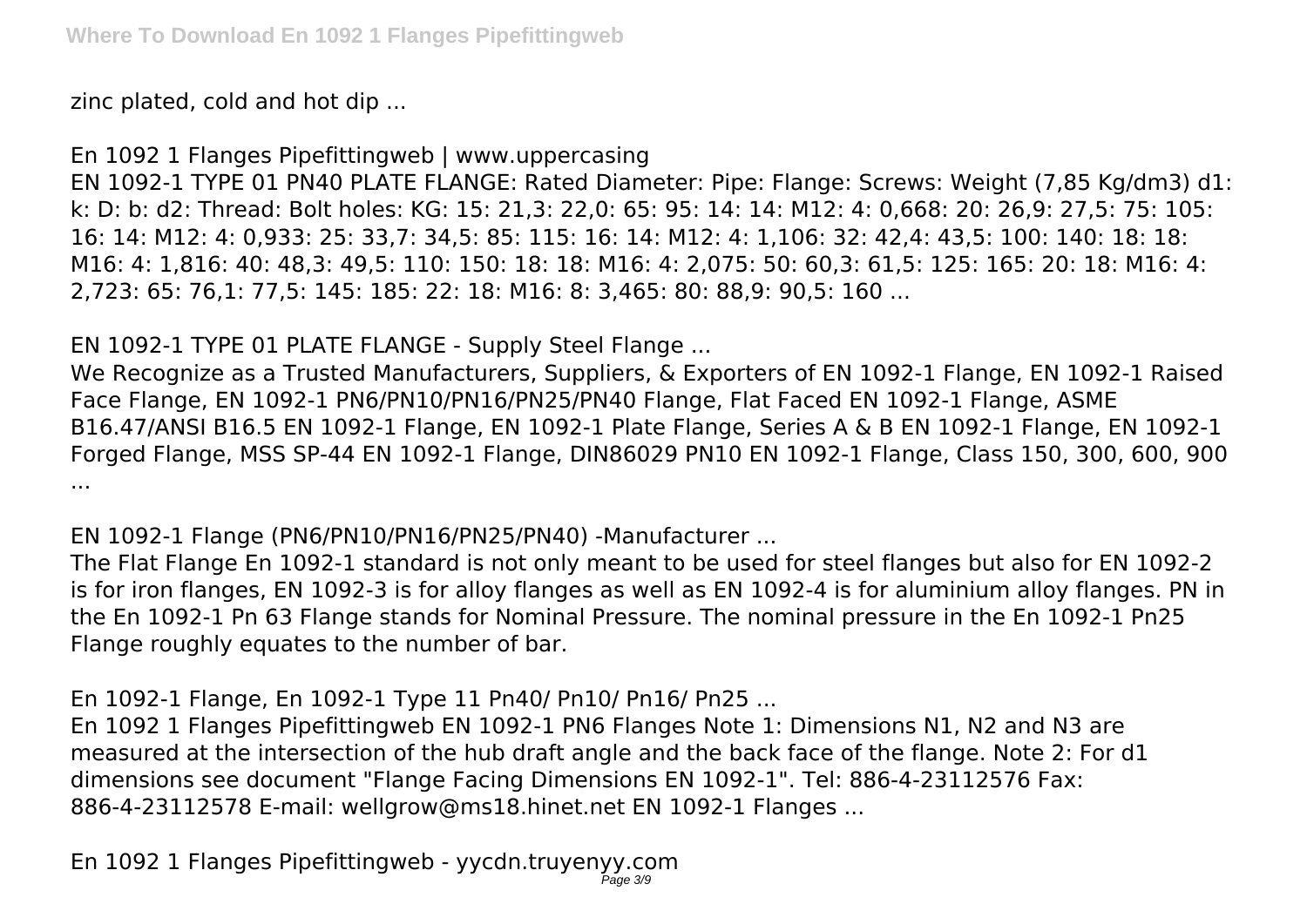zinc plated, cold and hot dip ...

En 1092 1 Flanges Pipefittingweb | www.uppercasing

EN 1092-1 TYPE 01 PN40 PLATE FLANGE: Rated Diameter: Pipe: Flange: Screws: Weight (7,85 Kg/dm3) d1: k: D: b: d2: Thread: Bolt holes: KG: 15: 21,3: 22,0: 65: 95: 14: 14: M12: 4: 0,668: 20: 26,9: 27,5: 75: 105: 16: 14: M12: 4: 0,933: 25: 33,7: 34,5: 85: 115: 16: 14: M12: 4: 1,106: 32: 42,4: 43,5: 100: 140: 18: 18: M16: 4: 1,816: 40: 48,3: 49,5: 110: 150: 18: 18: M16: 4: 2,075: 50: 60,3: 61,5: 125: 165: 20: 18: M16: 4: 2,723: 65: 76,1: 77,5: 145: 185: 22: 18: M16: 8: 3,465: 80: 88,9: 90,5: 160 ...

EN 1092-1 TYPE 01 PLATE FLANGE - Supply Steel Flange ...

We Recognize as a Trusted Manufacturers, Suppliers, & Exporters of EN 1092-1 Flange, EN 1092-1 Raised Face Flange, EN 1092-1 PN6/PN10/PN16/PN25/PN40 Flange, Flat Faced EN 1092-1 Flange, ASME B16.47/ANSI B16.5 EN 1092-1 Flange, EN 1092-1 Plate Flange, Series A & B EN 1092-1 Flange, EN 1092-1 Forged Flange, MSS SP-44 EN 1092-1 Flange, DIN86029 PN10 EN 1092-1 Flange, Class 150, 300, 600, 900 ...

EN 1092-1 Flange (PN6/PN10/PN16/PN25/PN40) -Manufacturer ...

The Flat Flange En 1092-1 standard is not only meant to be used for steel flanges but also for EN 1092-2 is for iron flanges, EN 1092-3 is for alloy flanges as well as EN 1092-4 is for aluminium alloy flanges. PN in the En 1092-1 Pn 63 Flange stands for Nominal Pressure. The nominal pressure in the En 1092-1 Pn25 Flange roughly equates to the number of bar.

En 1092-1 Flange, En 1092-1 Type 11 Pn40/ Pn10/ Pn16/ Pn25 ...

En 1092 1 Flanges Pipefittingweb EN 1092-1 PN6 Flanges Note 1: Dimensions N1, N2 and N3 are measured at the intersection of the hub draft angle and the back face of the flange. Note 2: For d1 dimensions see document "Flange Facing Dimensions EN 1092-1". Tel: 886-4-23112576 Fax: 886-4-23112578 E-mail: wellgrow@ms18.hinet.net EN 1092-1 Flanges ...

En 1092 1 Flanges Pipefittingweb - yycdn.truyenyy.com Page 3/9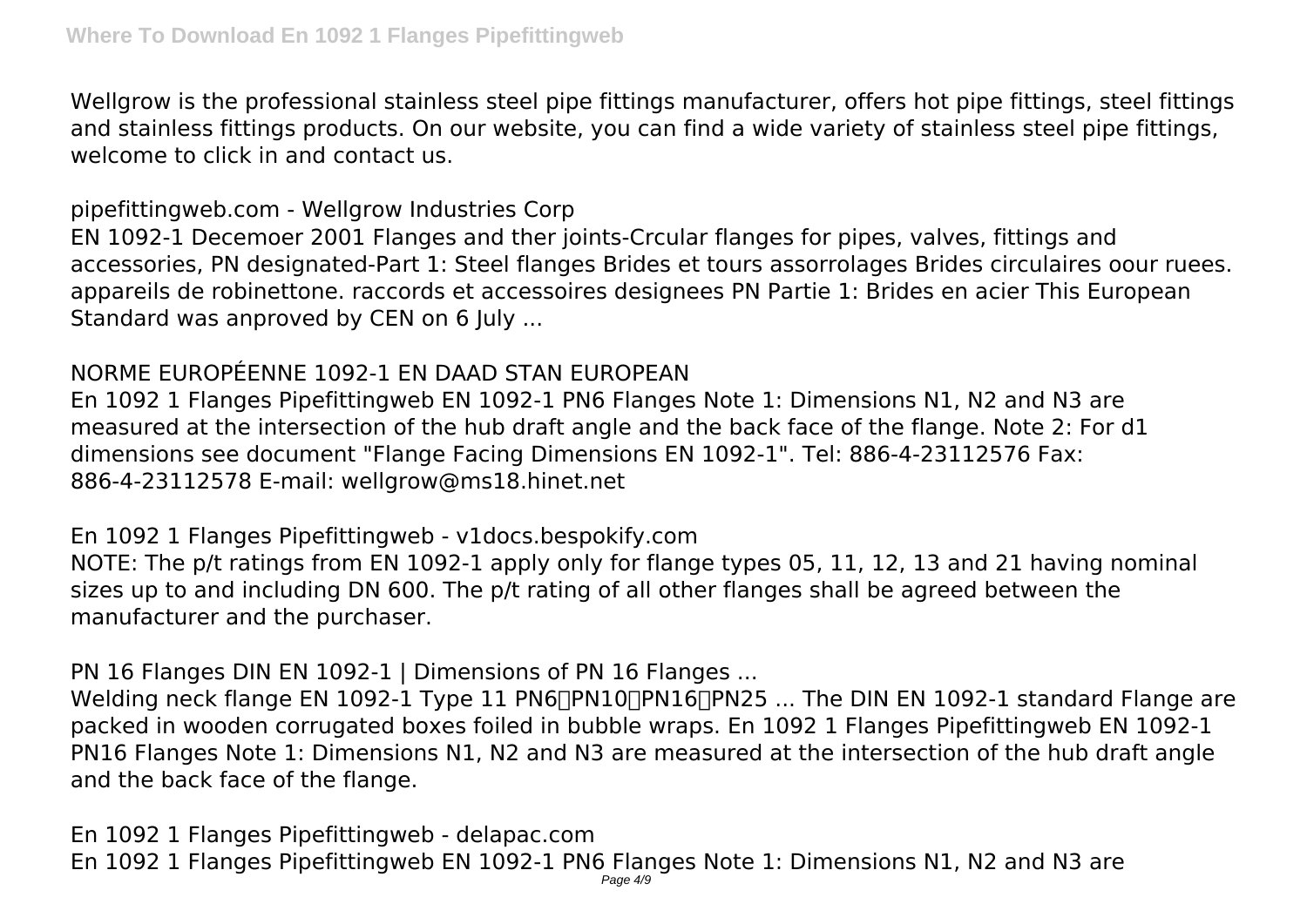Wellgrow is the professional stainless steel pipe fittings manufacturer, offers hot pipe fittings, steel fittings and stainless fittings products. On our website, you can find a wide variety of stainless steel pipe fittings, welcome to click in and contact us.

pipefittingweb.com - Wellgrow Industries Corp

EN 1092-1 Decemoer 2001 Flanges and ther joints-Crcular flanges for pipes, valves, fittings and accessories, PN designated-Part 1: Steel flanges Brides et tours assorrolages Brides circulaires oour ruees. appareils de robinettone. raccords et accessoires designees PN Partie 1: Brides en acier This European Standard was anproved by CEN on 6 July ...

## NORME EUROPÉENNE 1092-1 EN DAAD STAN EUROPEAN

En 1092 1 Flanges Pipefittingweb EN 1092-1 PN6 Flanges Note 1: Dimensions N1, N2 and N3 are measured at the intersection of the hub draft angle and the back face of the flange. Note 2: For d1 dimensions see document "Flange Facing Dimensions EN 1092-1". Tel: 886-4-23112576 Fax: 886-4-23112578 E-mail: wellgrow@ms18.hinet.net

En 1092 1 Flanges Pipefittingweb - v1docs.bespokify.com

NOTE: The p/t ratings from EN 1092-1 apply only for flange types 05, 11, 12, 13 and 21 having nominal sizes up to and including DN 600. The p/t rating of all other flanges shall be agreed between the manufacturer and the purchaser.

PN 16 Flanges DIN EN 1092-1 | Dimensions of PN 16 Flanges ...

Welding neck flange EN 1092-1 Type 11 PN6<sup>-</sup> PN10<sup>-</sup> PN16<sup>-</sup> PN25 ... The DIN EN 1092-1 standard Flange are packed in wooden corrugated boxes foiled in bubble wraps. En 1092 1 Flanges Pipefittingweb EN 1092-1 PN16 Flanges Note 1: Dimensions N1, N2 and N3 are measured at the intersection of the hub draft angle and the back face of the flange.

En 1092 1 Flanges Pipefittingweb - delapac.com En 1092 1 Flanges Pipefittingweb EN 1092-1 PN6 Flanges Note 1: Dimensions N1, N2 and N3 are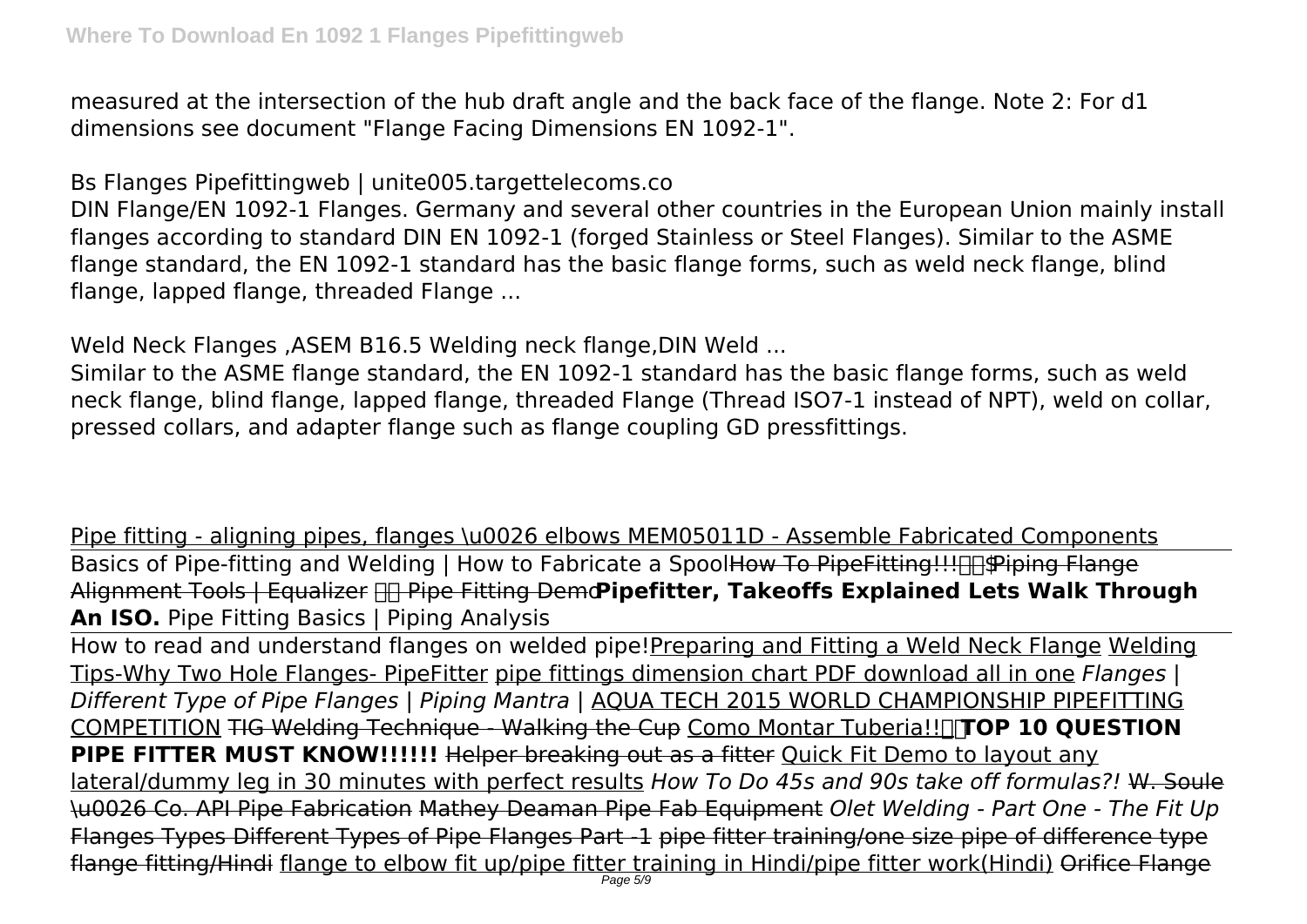measured at the intersection of the hub draft angle and the back face of the flange. Note 2: For d1 dimensions see document "Flange Facing Dimensions EN 1092-1".

Bs Flanges Pipefittingweb | unite005.targettelecoms.co

DIN Flange/EN 1092-1 Flanges. Germany and several other countries in the European Union mainly install flanges according to standard DIN EN 1092-1 (forged Stainless or Steel Flanges). Similar to the ASME flange standard, the EN 1092-1 standard has the basic flange forms, such as weld neck flange, blind flange, lapped flange, threaded Flange ...

Weld Neck Flanges ,ASEM B16.5 Welding neck flange,DIN Weld ...

Similar to the ASME flange standard, the EN 1092-1 standard has the basic flange forms, such as weld neck flange, blind flange, lapped flange, threaded Flange (Thread ISO7-1 instead of NPT), weld on collar, pressed collars, and adapter flange such as flange coupling GD pressfittings.

Pipe fitting - aligning pipes, flanges \u0026 elbows MEM05011D - Assemble Fabricated Components Basics of Pipe-fitting and Welding | How to Fabricate a Spool<del>How To PipeFitting!!! The Piping Flange</del> Alignment Tools | Equalizer Pipe Fitting Demo**Pipefitter, Takeoffs Explained Lets Walk Through An ISO.** Pipe Fitting Basics | Piping Analysis

How to read and understand flanges on welded pipe!Preparing and Fitting a Weld Neck Flange Welding Tips-Why Two Hole Flanges- PipeFitter pipe fittings dimension chart PDF download all in one *Flanges | Different Type of Pipe Flanges | Piping Mantra |* AQUA TECH 2015 WORLD CHAMPIONSHIP PIPEFITTING COMPETITION TIG Welding Technique - Walking the Cup Como Montar Tuberia!!**TOP 10 QUESTION PIPE FITTER MUST KNOW!!!!!!!** Helper breaking out as a fitter Ouick Fit Demo to layout any lateral/dummy leg in 30 minutes with perfect results *How To Do 45s and 90s take off formulas?!* W. Soule \u0026 Co. API Pipe Fabrication Mathey Deaman Pipe Fab Equipment *Olet Welding - Part One - The Fit Up* Flanges Types Different Types of Pipe Flanges Part -1 pipe fitter training/one size pipe of difference type flange fitting/Hindi flange to elbow fit up/pipe fitter training in Hindi/pipe fitter work(Hindi) Orifice Flange<br>Page 59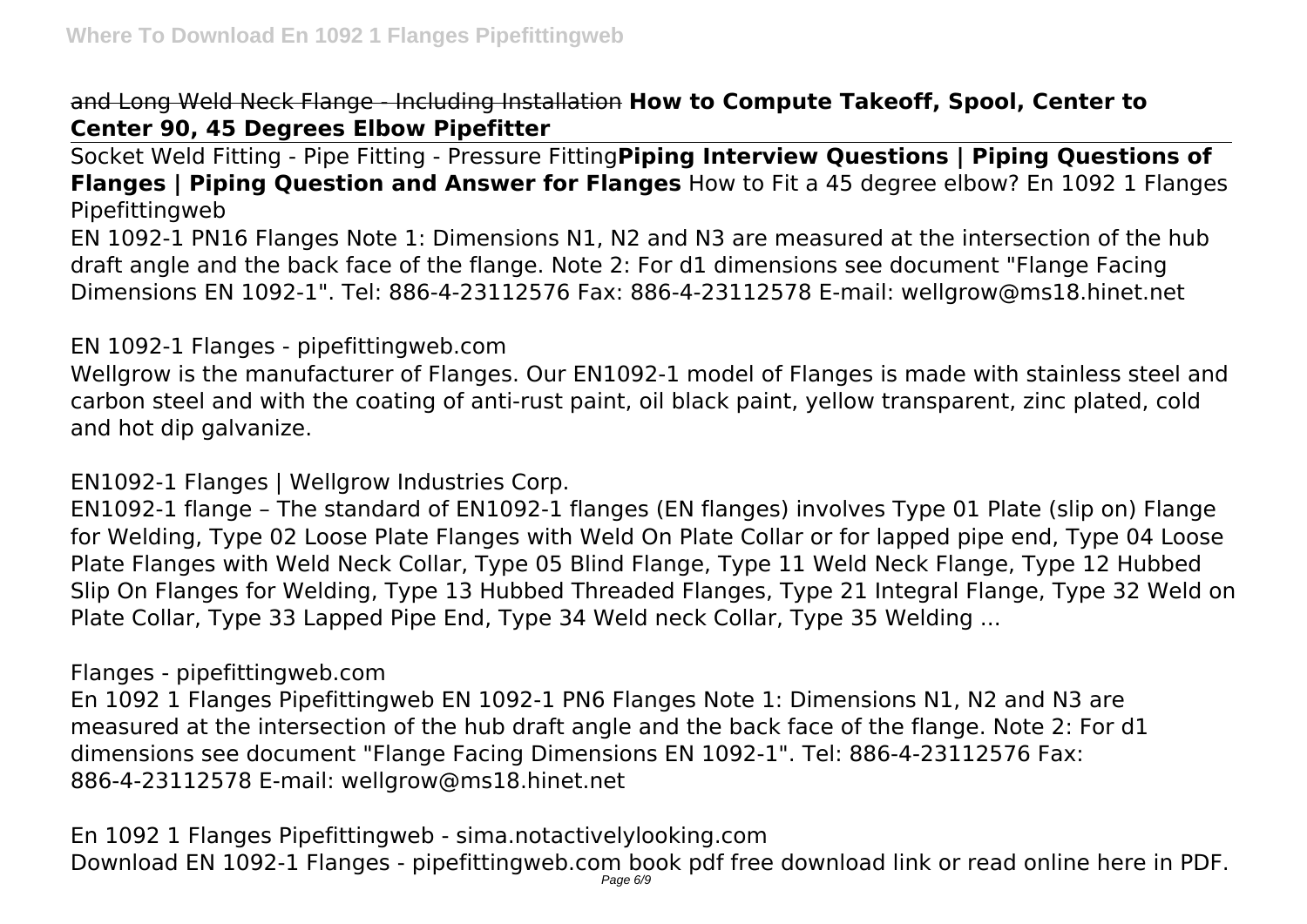and Long Weld Neck Flange - Including Installation **How to Compute Takeoff, Spool, Center to Center 90, 45 Degrees Elbow Pipefitter**

Socket Weld Fitting - Pipe Fitting - Pressure Fitting**Piping Interview Questions | Piping Questions of Flanges | Piping Question and Answer for Flanges** How to Fit a 45 degree elbow? En 1092 1 Flanges Pipefittingweb

EN 1092-1 PN16 Flanges Note 1: Dimensions N1, N2 and N3 are measured at the intersection of the hub draft angle and the back face of the flange. Note 2: For d1 dimensions see document "Flange Facing Dimensions EN 1092-1". Tel: 886-4-23112576 Fax: 886-4-23112578 E-mail: wellgrow@ms18.hinet.net

## EN 1092-1 Flanges - pipefittingweb.com

Wellgrow is the manufacturer of Flanges. Our EN1092-1 model of Flanges is made with stainless steel and carbon steel and with the coating of anti-rust paint, oil black paint, yellow transparent, zinc plated, cold and hot dip galvanize.

EN1092-1 Flanges | Wellgrow Industries Corp.

EN1092-1 flange – The standard of EN1092-1 flanges (EN flanges) involves Type 01 Plate (slip on) Flange for Welding, Type 02 Loose Plate Flanges with Weld On Plate Collar or for lapped pipe end, Type 04 Loose Plate Flanges with Weld Neck Collar, Type 05 Blind Flange, Type 11 Weld Neck Flange, Type 12 Hubbed Slip On Flanges for Welding, Type 13 Hubbed Threaded Flanges, Type 21 Integral Flange, Type 32 Weld on Plate Collar, Type 33 Lapped Pipe End, Type 34 Weld neck Collar, Type 35 Welding ...

Flanges - pipefittingweb.com

En 1092 1 Flanges Pipefittingweb EN 1092-1 PN6 Flanges Note 1: Dimensions N1, N2 and N3 are measured at the intersection of the hub draft angle and the back face of the flange. Note 2: For d1 dimensions see document "Flange Facing Dimensions EN 1092-1". Tel: 886-4-23112576 Fax: 886-4-23112578 E-mail: wellgrow@ms18.hinet.net

En 1092 1 Flanges Pipefittingweb - sima.notactivelylooking.com Download EN 1092-1 Flanges - pipefittingweb.com book pdf free download link or read online here in PDF.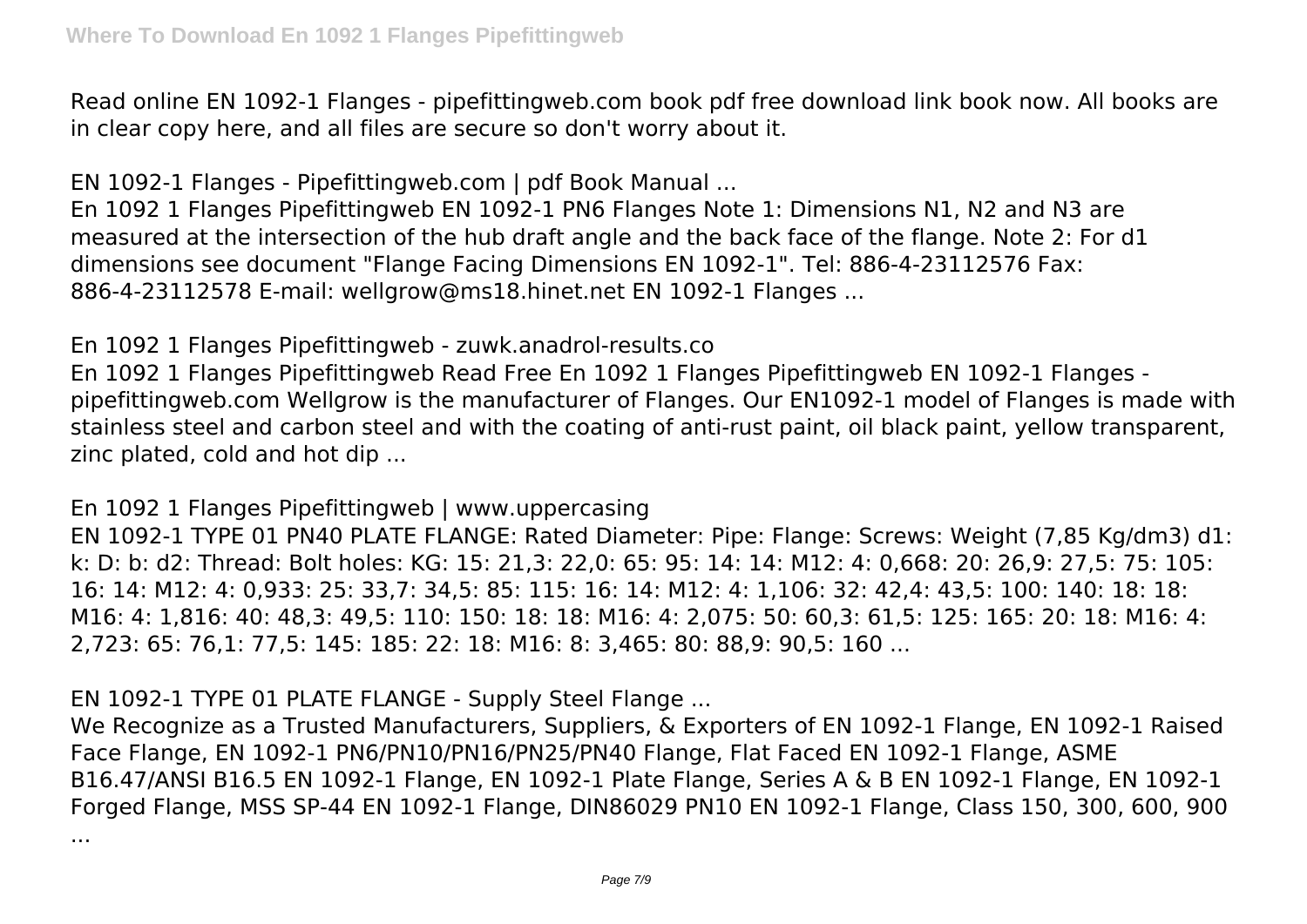Read online EN 1092-1 Flanges - pipefittingweb.com book pdf free download link book now. All books are in clear copy here, and all files are secure so don't worry about it.

EN 1092-1 Flanges - Pipefittingweb.com | pdf Book Manual ...

En 1092 1 Flanges Pipefittingweb EN 1092-1 PN6 Flanges Note 1: Dimensions N1, N2 and N3 are measured at the intersection of the hub draft angle and the back face of the flange. Note 2: For d1 dimensions see document "Flange Facing Dimensions EN 1092-1". Tel: 886-4-23112576 Fax: 886-4-23112578 E-mail: wellgrow@ms18.hinet.net EN 1092-1 Flanges ...

En 1092 1 Flanges Pipefittingweb - zuwk.anadrol-results.co

En 1092 1 Flanges Pipefittingweb Read Free En 1092 1 Flanges Pipefittingweb EN 1092-1 Flanges pipefittingweb.com Wellgrow is the manufacturer of Flanges. Our EN1092-1 model of Flanges is made with stainless steel and carbon steel and with the coating of anti-rust paint, oil black paint, yellow transparent, zinc plated, cold and hot dip ...

En 1092 1 Flanges Pipefittingweb | www.uppercasing

EN 1092-1 TYPE 01 PN40 PLATE FLANGE: Rated Diameter: Pipe: Flange: Screws: Weight (7,85 Kg/dm3) d1: k: D: b: d2: Thread: Bolt holes: KG: 15: 21,3: 22,0: 65: 95: 14: 14: M12: 4: 0,668: 20: 26,9: 27,5: 75: 105: 16: 14: M12: 4: 0,933: 25: 33,7: 34,5: 85: 115: 16: 14: M12: 4: 1,106: 32: 42,4: 43,5: 100: 140: 18: 18: M16: 4: 1,816: 40: 48,3: 49,5: 110: 150: 18: 18: M16: 4: 2,075: 50: 60,3: 61,5: 125: 165: 20: 18: M16: 4: 2,723: 65: 76,1: 77,5: 145: 185: 22: 18: M16: 8: 3,465: 80: 88,9: 90,5: 160 ...

EN 1092-1 TYPE 01 PLATE FLANGE - Supply Steel Flange ...

We Recognize as a Trusted Manufacturers, Suppliers, & Exporters of EN 1092-1 Flange, EN 1092-1 Raised Face Flange, EN 1092-1 PN6/PN10/PN16/PN25/PN40 Flange, Flat Faced EN 1092-1 Flange, ASME B16.47/ANSI B16.5 EN 1092-1 Flange, EN 1092-1 Plate Flange, Series A & B EN 1092-1 Flange, EN 1092-1 Forged Flange, MSS SP-44 EN 1092-1 Flange, DIN86029 PN10 EN 1092-1 Flange, Class 150, 300, 600, 900

...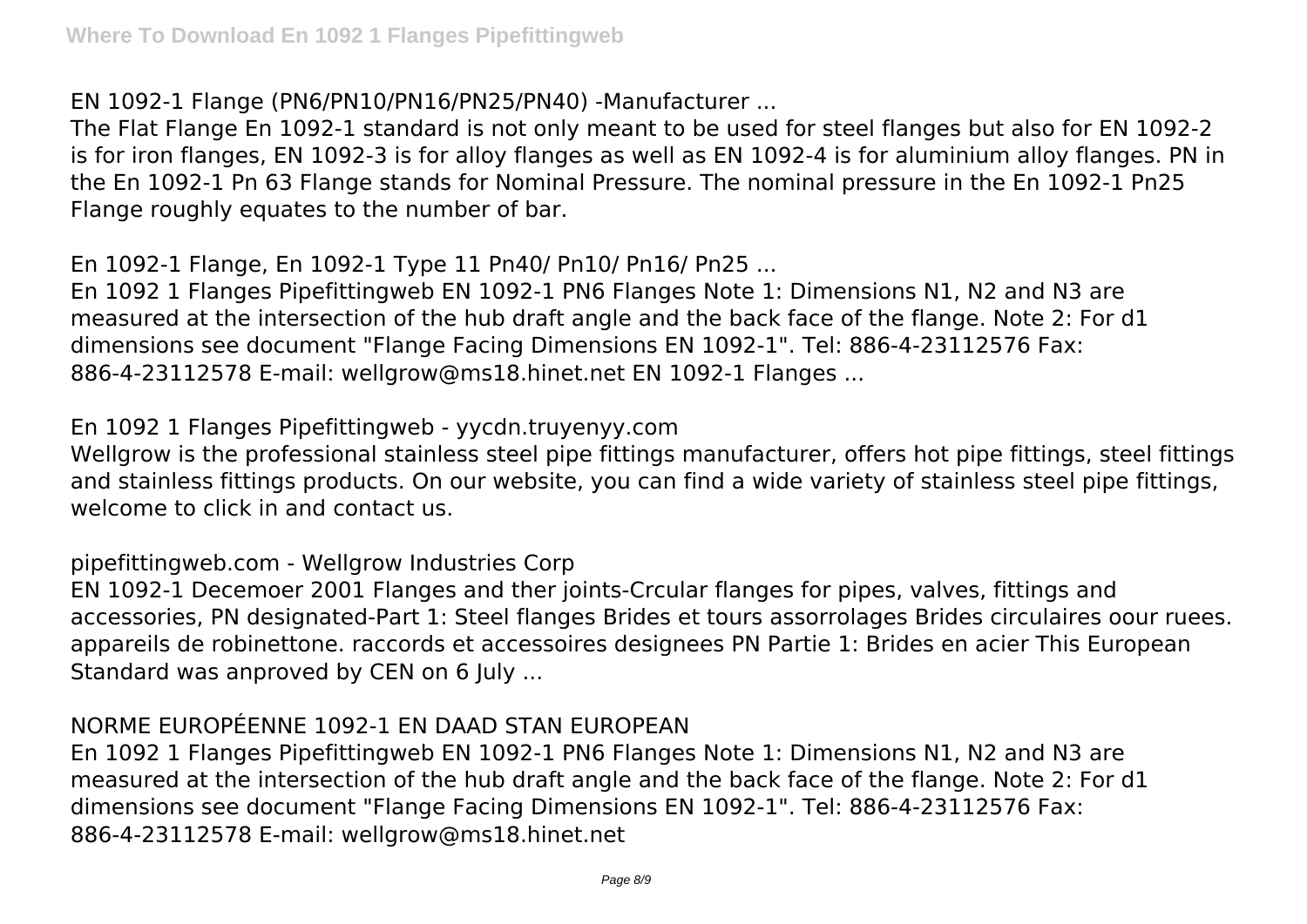EN 1092-1 Flange (PN6/PN10/PN16/PN25/PN40) -Manufacturer ...

The Flat Flange En 1092-1 standard is not only meant to be used for steel flanges but also for EN 1092-2 is for iron flanges, EN 1092-3 is for alloy flanges as well as EN 1092-4 is for aluminium alloy flanges. PN in the En 1092-1 Pn 63 Flange stands for Nominal Pressure. The nominal pressure in the En 1092-1 Pn25 Flange roughly equates to the number of bar.

En 1092-1 Flange, En 1092-1 Type 11 Pn40/ Pn10/ Pn16/ Pn25 ...

En 1092 1 Flanges Pipefittingweb EN 1092-1 PN6 Flanges Note 1: Dimensions N1, N2 and N3 are measured at the intersection of the hub draft angle and the back face of the flange. Note 2: For d1 dimensions see document "Flange Facing Dimensions EN 1092-1". Tel: 886-4-23112576 Fax: 886-4-23112578 E-mail: wellgrow@ms18.hinet.net EN 1092-1 Flanges ...

En 1092 1 Flanges Pipefittingweb - yycdn.truyenyy.com

Wellgrow is the professional stainless steel pipe fittings manufacturer, offers hot pipe fittings, steel fittings and stainless fittings products. On our website, you can find a wide variety of stainless steel pipe fittings, welcome to click in and contact us.

pipefittingweb.com - Wellgrow Industries Corp

EN 1092-1 Decemoer 2001 Flanges and ther joints-Crcular flanges for pipes, valves, fittings and accessories, PN designated-Part 1: Steel flanges Brides et tours assorrolages Brides circulaires oour ruees. appareils de robinettone. raccords et accessoires designees PN Partie 1: Brides en acier This European Standard was anproved by CEN on 6 July ...

## NORME EUROPÉENNE 1092-1 EN DAAD STAN EUROPEAN

En 1092 1 Flanges Pipefittingweb EN 1092-1 PN6 Flanges Note 1: Dimensions N1, N2 and N3 are measured at the intersection of the hub draft angle and the back face of the flange. Note 2: For d1 dimensions see document "Flange Facing Dimensions EN 1092-1". Tel: 886-4-23112576 Fax: 886-4-23112578 E-mail: wellgrow@ms18.hinet.net